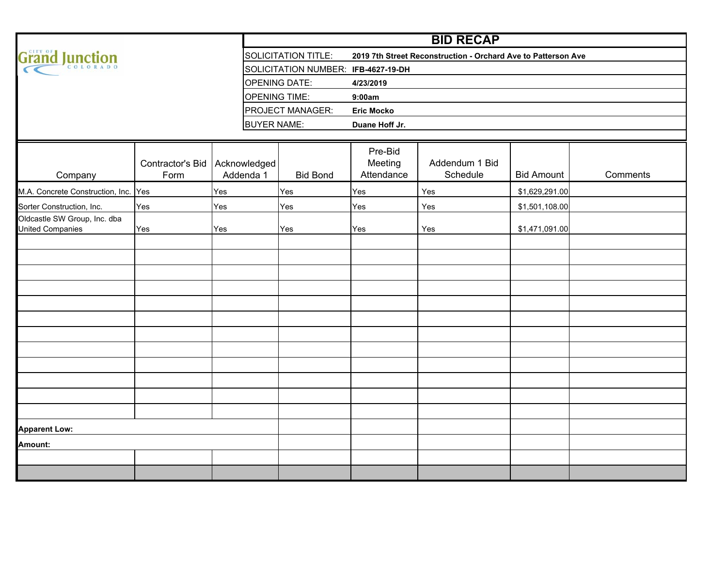|                                                         |                          |                           |                                     |                                  | <b>BID RECAP</b>                                              |                   |          |
|---------------------------------------------------------|--------------------------|---------------------------|-------------------------------------|----------------------------------|---------------------------------------------------------------|-------------------|----------|
| Grand Junction                                          |                          |                           | <b>SOLICITATION TITLE:</b>          |                                  | 2019 7th Street Reconstruction - Orchard Ave to Patterson Ave |                   |          |
|                                                         |                          |                           | SOLICITATION NUMBER: IFB-4627-19-DH |                                  |                                                               |                   |          |
|                                                         |                          |                           | <b>OPENING DATE:</b>                | 4/23/2019                        |                                                               |                   |          |
|                                                         |                          |                           | <b>OPENING TIME:</b>                | 9:00am                           |                                                               |                   |          |
|                                                         |                          |                           | PROJECT MANAGER:                    | <b>Eric Mocko</b>                |                                                               |                   |          |
|                                                         |                          | <b>BUYER NAME:</b>        |                                     | Duane Hoff Jr.                   |                                                               |                   |          |
|                                                         |                          |                           |                                     |                                  |                                                               |                   |          |
| Company                                                 | Contractor's Bid<br>Form | Acknowledged<br>Addenda 1 | <b>Bid Bond</b>                     | Pre-Bid<br>Meeting<br>Attendance | Addendum 1 Bid<br>Schedule                                    | <b>Bid Amount</b> | Comments |
| M.A. Concrete Construction, Inc. Yes                    |                          | Yes                       | Yes                                 | Yes                              | Yes                                                           | \$1,629,291.00    |          |
| Sorter Construction, Inc.                               | Yes                      | Yes                       | Yes                                 | Yes                              | Yes                                                           | \$1,501,108.00    |          |
| Oldcastle SW Group, Inc. dba<br><b>United Companies</b> | Yes                      | Yes                       | Yes                                 | Yes                              | Yes                                                           | \$1,471,091.00    |          |
|                                                         |                          |                           |                                     |                                  |                                                               |                   |          |
|                                                         |                          |                           |                                     |                                  |                                                               |                   |          |
|                                                         |                          |                           |                                     |                                  |                                                               |                   |          |
|                                                         |                          |                           |                                     |                                  |                                                               |                   |          |
|                                                         |                          |                           |                                     |                                  |                                                               |                   |          |
|                                                         |                          |                           |                                     |                                  |                                                               |                   |          |
|                                                         |                          |                           |                                     |                                  |                                                               |                   |          |
|                                                         |                          |                           |                                     |                                  |                                                               |                   |          |
|                                                         |                          |                           |                                     |                                  |                                                               |                   |          |
|                                                         |                          |                           |                                     |                                  |                                                               |                   |          |
|                                                         |                          |                           |                                     |                                  |                                                               |                   |          |
|                                                         |                          |                           |                                     |                                  |                                                               |                   |          |
| <b>Apparent Low:</b>                                    |                          |                           |                                     |                                  |                                                               |                   |          |
| Amount:                                                 |                          |                           |                                     |                                  |                                                               |                   |          |
|                                                         |                          |                           |                                     |                                  |                                                               |                   |          |
|                                                         |                          |                           |                                     |                                  |                                                               |                   |          |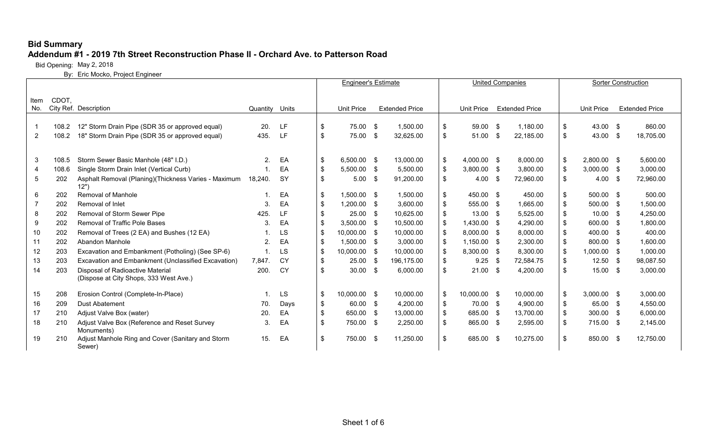#### **Addendum #1 - 2019 7th Street Reconstruction Phase II - Orchard Ave. to Patterson Road**

Bid Opening: May 2, 2018

|                |       |                                                       |                |           | <b>Engineer's Estimate</b> |                   | <b>United Companies</b> |                       |                     |      |                       | <b>Sorter Construction</b> |                   |                       |
|----------------|-------|-------------------------------------------------------|----------------|-----------|----------------------------|-------------------|-------------------------|-----------------------|---------------------|------|-----------------------|----------------------------|-------------------|-----------------------|
|                |       |                                                       |                |           |                            |                   |                         |                       |                     |      |                       |                            |                   |                       |
| Item<br>No.    | CDOT. | City Ref. Description                                 | Quantity       | Units     |                            | <b>Unit Price</b> |                         | <b>Extended Price</b> | Unit Price          |      | <b>Extended Price</b> |                            | <b>Unit Price</b> | <b>Extended Price</b> |
|                |       |                                                       |                |           |                            |                   |                         |                       |                     |      |                       |                            |                   |                       |
| -1             | 108.2 | 12" Storm Drain Pipe (SDR 35 or approved equal)       | 20.            | LF.       | \$                         | 75.00             | -\$                     | 1,500.00              | \$<br>59.00 \$      |      | 1.180.00              | \$                         | 43.00 \$          | 860.00                |
| $\overline{2}$ | 108.2 | 18" Storm Drain Pipe (SDR 35 or approved equal)       | 435.           | <b>LF</b> | \$                         | 75.00             | -\$                     | 32,625.00             | \$<br>51.00         | - \$ | 22,185.00             | \$                         | 43.00 \$          | 18,705.00             |
|                |       |                                                       |                |           |                            |                   |                         |                       |                     |      |                       |                            |                   |                       |
| 3              | 108.5 | Storm Sewer Basic Manhole (48" I.D.)                  | $\overline{2}$ | EA        | \$                         | 6,500.00 \$       |                         | 13,000.00             | \$<br>$4,000.00$ \$ |      | 8,000.00              | \$                         | $2.800.00$ \$     | 5,600.00              |
| 4              | 108.6 | Single Storm Drain Inlet (Vertical Curb)              | $\mathbf 1$    | EA        | \$                         | 5,500.00 \$       |                         | 5,500.00              | \$<br>3,800.00 \$   |      | 3,800.00              | \$                         | $3,000.00$ \$     | 3,000.00              |
| 5              | 202   | Asphalt Removal (Planing) (Thickness Varies - Maximum | 18,240.        | <b>SY</b> | \$                         | $5.00$ \$         |                         | 91,200.00             | \$<br>4.00          | - \$ | 72,960.00             | \$                         | $4.00\quad$ \$    | 72,960.00             |
|                |       | 12"                                                   |                |           |                            |                   |                         |                       |                     |      |                       |                            |                   |                       |
| 6              | 202   | Removal of Manhole                                    |                | EA        | \$                         | $1.500.00$ \$     |                         | 1,500.00              | \$<br>450.00 \$     |      | 450.00                | \$                         | 500.00 \$         | 500.00                |
|                | 202   | Removal of Inlet                                      | 3.             | EA        | \$                         | 1.200.00          | -\$                     | 3,600.00              | \$<br>555.00 \$     |      | 1,665.00              | \$                         | $500.00$ \$       | 1,500.00              |
| 8              | 202   | Removal of Storm Sewer Pipe                           | 425.           | LF        | \$                         | 25.00             | - \$                    | 10.625.00             | \$<br>$13.00$ \$    |      | 5,525.00              | $\sqrt[6]{3}$              | $10.00$ \$        | 4,250.00              |
| 9              | 202   | Removal of Traffic Pole Bases                         | 3.             | EA        | \$                         | $3,500.00$ \$     |                         | 10,500.00             | \$<br>$1,430.00$ \$ |      | 4,290.00              | \$                         | 600.00 \$         | 1,800.00              |
| 10             | 202   | Removal of Trees (2 EA) and Bushes (12 EA)            |                | LS        | \$                         | 10,000.00         | - \$                    | 10,000.00             | \$<br>8,000.00 \$   |      | 8,000.00              | \$                         | 400.00 \$         | 400.00                |
| 11             | 202   | Abandon Manhole                                       | 2.             | EA        | \$                         | 1,500.00 \$       |                         | 3,000.00              | \$<br>$1,150.00$ \$ |      | 2,300.00              | \$                         | 800.00 \$         | 1,600.00              |
| 12             | 203   | Excavation and Embankment (Potholing) (See SP-6)      |                | LS        | \$                         | 10.000.00         | - \$                    | 10.000.00             | \$<br>8,300.00 \$   |      | 8.300.00              | -\$                        | $1.000.00$ \$     | 1.000.00              |
| 13             | 203   | Excavation and Embankment (Unclassified Excavation)   | 7.847.         | <b>CY</b> | \$                         | 25.00             | \$                      | 196,175.00            | \$<br>9.25          | - \$ | 72,584.75             | -\$                        | $12.50$ \$        | 98,087.50             |
| 14             | 203   | Disposal of Radioactive Material                      | 200.           | CY        | \$                         | $30.00$ \$        |                         | 6,000.00              | \$<br>$21.00$ \$    |      | 4,200.00              | \$                         | $15.00$ \$        | 3,000.00              |
|                |       | (Dispose at City Shops, 333 West Ave.)                |                |           |                            |                   |                         |                       |                     |      |                       |                            |                   |                       |
| 15             | 208   | Erosion Control (Complete-In-Place)                   | -1.            | LS        | \$                         | 10,000.00 \$      |                         | 10,000.00             | \$<br>10,000.00 \$  |      | 10,000.00             | \$                         | $3,000.00$ \$     | 3,000.00              |
| 16             | 209   | <b>Dust Abatement</b>                                 | 70.            | Days      | \$                         | 60.00 \$          |                         | 4,200.00              | \$<br>70.00 \$      |      | 4,900.00              | \$                         | 65.00 \$          | 4,550.00              |
| 17             | 210   | Adjust Valve Box (water)                              | 20.            | EA        | \$                         | 650.00            | - \$                    | 13,000.00             | \$<br>685.00 \$     |      | 13,700.00             | \$                         | $300.00$ \$       | 6,000.00              |
| 18             | 210   | Adjust Valve Box (Reference and Reset Survey          | 3.             | EA        | \$                         | 750.00 \$         |                         | 2.250.00              | \$<br>865.00 \$     |      | 2.595.00              | \$                         | 715.00 \$         | 2.145.00              |
|                |       | Monuments)                                            |                |           |                            |                   |                         |                       |                     |      |                       |                            |                   |                       |
| 19             | 210   | Adjust Manhole Ring and Cover (Sanitary and Storm     | 15.            | EA        | \$                         | 750.00 \$         |                         | 11,250.00             | \$<br>685.00 \$     |      | 10,275.00             | \$                         | 850.00 \$         | 12,750.00             |
|                |       | Sewer)                                                |                |           |                            |                   |                         |                       |                     |      |                       |                            |                   |                       |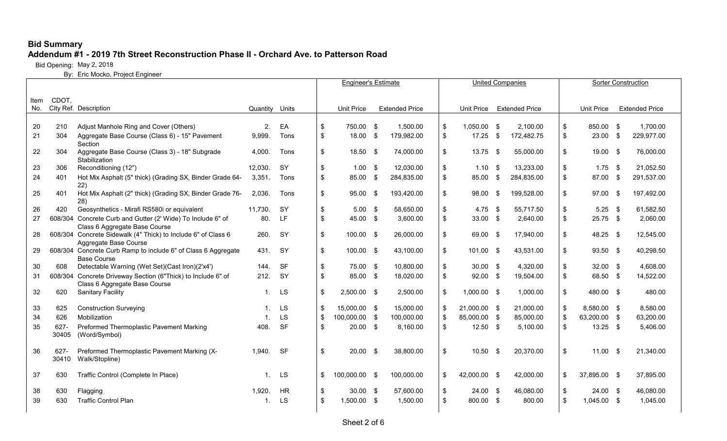#### **Addendum #1 - 2019 7th Street Reconstruction Phase II - Orchard Ave. to Patterson Road**

Bid Opening: May 2, 2018

|      |       |                                                                                               |                |           | <b>Engineer's Estimate</b> |                   |     | <b>United Companies</b> |                     |      |                       | <b>Sorter Construction</b> |                   |      |                       |  |
|------|-------|-----------------------------------------------------------------------------------------------|----------------|-----------|----------------------------|-------------------|-----|-------------------------|---------------------|------|-----------------------|----------------------------|-------------------|------|-----------------------|--|
|      |       |                                                                                               |                |           |                            |                   |     |                         |                     |      |                       |                            |                   |      |                       |  |
| Item | CDOT, |                                                                                               |                |           |                            |                   |     |                         |                     |      |                       |                            |                   |      |                       |  |
| No.  |       | City Ref. Description                                                                         | Quantity Units |           |                            | <b>Unit Price</b> |     | <b>Extended Price</b>   | Unit Price          |      | <b>Extended Price</b> |                            | <b>Unit Price</b> |      | <b>Extended Price</b> |  |
|      |       |                                                                                               |                |           |                            |                   |     |                         |                     |      |                       |                            |                   |      |                       |  |
| 20   | 210   | Adjust Manhole Ring and Cover (Others)                                                        | 2.             | EA        | \$                         | 750.00 \$         |     | 1,500.00                | \$<br>1,050.00 \$   |      | 2,100.00              | \$                         | 850.00 \$         |      | 1,700.00              |  |
| 21   | 304   | Aggregate Base Course (Class 6) - 15" Pavement<br>Section                                     | 9,999.         | Tons      | \$                         | 18.00             | -\$ | 179,982.00              | \$<br>17.25         | \$   | 172,482.75            | \$                         | 23.00             | - \$ | 229,977.00            |  |
| 22   | 304   | Aggregate Base Course (Class 3) - 18" Subgrade<br>Stabilization                               | 4,000.         | Tons      | \$                         | $18.50$ \$        |     | 74,000.00               | \$<br>$13.75$ \$    |      | 55,000.00             | $\sqrt[6]{2}$              | $19.00$ \$        |      | 76,000.00             |  |
| 23   | 306   | Reconditioning (12")                                                                          | 12,030.        | SY        | \$                         | $1.00$ \$         |     | 12,030.00               | \$<br>1.10          | - \$ | 13,233.00             | $\sqrt[6]{2}$              | $1.75$ \$         |      | 21,052.50             |  |
| 24   | 401   | Hot Mix Asphalt (5" thick) (Grading SX, Binder Grade 64-                                      | 3,351.         | Tons      | \$                         | 85.00             | -\$ | 284,835.00              | \$<br>85.00         | \$   | 284,835.00            | $\frac{1}{2}$              | 87.00 \$          |      | 291,537.00            |  |
|      |       | 22)                                                                                           |                |           |                            |                   |     |                         |                     |      |                       |                            |                   |      |                       |  |
| 25   | 401   | Hot Mix Asphalt (2" thick) (Grading SX, Binder Grade 76-<br>28)                               | 2,036.         | Tons      | \$                         | 95.00 \$          |     | 193,420.00              | \$<br>98.00         | -\$  | 199,528.00            | $\sqrt[6]{2}$              | 97.00 \$          |      | 197,492.00            |  |
| 26   | 420   | Geosynthetics - Mirafi RS580i or equivalent                                                   | 11.730.        | <b>SY</b> | \$                         | $5.00$ \$         |     | 58,650.00               | \$<br>4.75          | - \$ | 55,717.50             | $\frac{1}{2}$              | $5.25$ \$         |      | 61,582.50             |  |
| 27   |       | 608/304 Concrete Curb and Gutter (2' Wide) To Include 6" of<br>Class 6 Aggregate Base Course  | 80.            | <b>LF</b> | \$                         | 45.00 \$          |     | 3,600.00                | \$<br>$33.00$ \$    |      | 2,640.00              | \$                         | $25.75$ \$        |      | 2,060.00              |  |
| 28   |       | 608/304 Concrete Sidewalk (4" Thick) to Include 6" of Class 6                                 | 260.           | <b>SY</b> | \$                         | 100.00 \$         |     | 26,000.00               | \$<br>69.00 \$      |      | 17,940.00             | $\sqrt[6]{2}$              | 48.25 \$          |      | 12,545.00             |  |
|      |       | Aggregate Base Course                                                                         |                |           |                            |                   |     |                         |                     |      |                       |                            |                   |      |                       |  |
| 29   |       | 608/304 Concrete Curb Ramp to include 6" of Class 6 Aggregate<br><b>Base Course</b>           | 431.           | SY        | \$                         | 100.00 \$         |     | 43,100.00               | \$<br>101.00 \$     |      | 43,531.00             | $\frac{1}{2}$              | 93.50 \$          |      | 40,298.50             |  |
| 30   | 608   | Detectable Warning (Wet Set)(Cast Iron)(2'x4')                                                | 144.           | <b>SF</b> | \$                         | 75.00 \$          |     | 10,800.00               | \$<br>$30.00$ \$    |      | 4,320.00              | $\sqrt[6]{3}$              | $32.00$ \$        |      | 4,608.00              |  |
| 31   |       | 608/304 Concrete Driveway Section (6"Thick) to Include 6" of<br>Class 6 Aggregate Base Course | 212.           | SY        | \$                         | 85.00 \$          |     | 18,020.00               | \$<br>$92.00$ \$    |      | 19,504.00             | \$                         | 68.50 \$          |      | 14,522.00             |  |
| 32   | 620   | <b>Sanitary Facility</b>                                                                      | $\mathbf{1}$ . | <b>LS</b> | \$                         | 2,500.00 \$       |     | 2,500.00                | \$<br>$1,000.00$ \$ |      | 1,000.00              | $\sqrt[6]{2}$              | 480.00 \$         |      | 480.00                |  |
| 33   | 625   | <b>Construction Surveying</b>                                                                 | $\mathbf 1$    | <b>LS</b> | \$                         | 15,000.00 \$      |     | 15,000.00               | \$<br>21,000.00 \$  |      | 21,000.00             | $\boldsymbol{\mathsf{S}}$  | 8,580.00 \$       |      | 8,580.00              |  |
| 34   | 626   | Mobilization                                                                                  | $\mathbf{1}$   | LS        | \$                         | 100,000.00 \$     |     | 100,000.00              | \$<br>85,000.00 \$  |      | 85,000.00             | \$                         | 63,200.00 \$      |      | 63,200.00             |  |
| 35   | 627-  | Preformed Thermoplastic Pavement Marking                                                      | 408.           | <b>SF</b> | \$                         | $20.00$ \$        |     | 8,160.00                | \$<br>$12.50$ \$    |      | 5,100.00              | $\sqrt[6]{3}$              | $13.25$ \$        |      | 5,406.00              |  |
|      | 30405 | (Word/Symbol)                                                                                 |                |           |                            |                   |     |                         |                     |      |                       |                            |                   |      |                       |  |
| 36   | 627-  | Preformed Thermoplastic Pavement Marking (X-                                                  | 1.940.         | <b>SF</b> | \$                         | $20.00$ \$        |     | 38,800.00               | \$<br>$10.50$ \$    |      | 20,370.00             | $\sqrt[6]{2}$              | $11.00$ \$        |      | 21,340.00             |  |
|      | 30410 | Walk/Stopline)                                                                                |                |           |                            |                   |     |                         |                     |      |                       |                            |                   |      |                       |  |
|      |       |                                                                                               |                |           |                            |                   |     |                         |                     |      |                       |                            |                   |      |                       |  |
| 37   | 630   | Traffic Control (Complete In Place)                                                           | $\mathbf{1}$ . | LS        | \$                         | 100,000.00 \$     |     | 100,000.00              | \$<br>42,000.00 \$  |      | 42,000.00             | $\frac{1}{2}$              | 37,895.00 \$      |      | 37,895.00             |  |
| 38   | 630   | Flagging                                                                                      | 1,920.         | <b>HR</b> | \$                         | $30.00$ \$        |     | 57,600.00               | \$<br>$24.00$ \$    |      | 46,080.00             | \$                         | $24.00$ \$        |      | 46,080.00             |  |
| 39   | 630   | <b>Traffic Control Plan</b>                                                                   | $\mathbf 1$    | LS        | \$                         | 1,500.00 \$       |     | 1,500.00                | \$<br>800.00 \$     |      | 800.00                | \$                         | 1,045.00 \$       |      | 1,045.00              |  |
|      |       |                                                                                               |                |           |                            |                   |     |                         |                     |      |                       |                            |                   |      |                       |  |
|      |       |                                                                                               |                |           |                            |                   |     |                         |                     |      |                       |                            |                   |      |                       |  |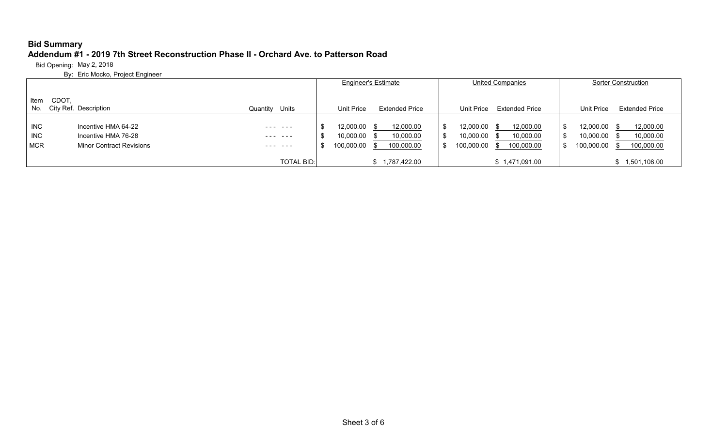# **Bid Summary Addendum #1 - 2019 7th Street Reconstruction Phase II - Orchard Ave. to Patterson Road**

Bid Opening: May 2, 2018

|                                        |                                                                               |                     | <b>Engineer's Estimate</b>                                                                   | <b>United Companies</b>                                                                                  | <b>Sorter Construction</b>                                                           |  |  |
|----------------------------------------|-------------------------------------------------------------------------------|---------------------|----------------------------------------------------------------------------------------------|----------------------------------------------------------------------------------------------------------|--------------------------------------------------------------------------------------|--|--|
| Item<br>No.                            | CDOT.<br>City Ref. Description                                                | Quantity Units      | Unit Price<br><b>Extended Price</b>                                                          | <b>Extended Price</b><br>Unit Price                                                                      | Unit Price<br><b>Extended Price</b>                                                  |  |  |
| <b>INC</b><br><b>INC</b><br><b>MCR</b> | Incentive HMA 64-22<br>Incentive HMA 76-28<br><b>Minor Contract Revisions</b> | ---- ---<br>------- | 12,000.00<br>12,000.00<br>- \$<br>10,000.00<br>10,000.00<br>- 35<br>100,000.00<br>100,000.00 | 12,000.00<br>12,000.00<br>- 95<br>. ა<br>10,000.00<br>10,000.00<br>.ზ<br>100,000.00<br>100,000.00<br>.ზ. | 12,000.00<br>12,000.00<br>10,000.00<br>10,000.00<br>100,000.00<br>100,000.00<br>- \$ |  |  |
|                                        |                                                                               | <b>TOTAL BID:</b>   | 1,787,422.00                                                                                 | \$1,471,091.00                                                                                           | 1,501,108.00                                                                         |  |  |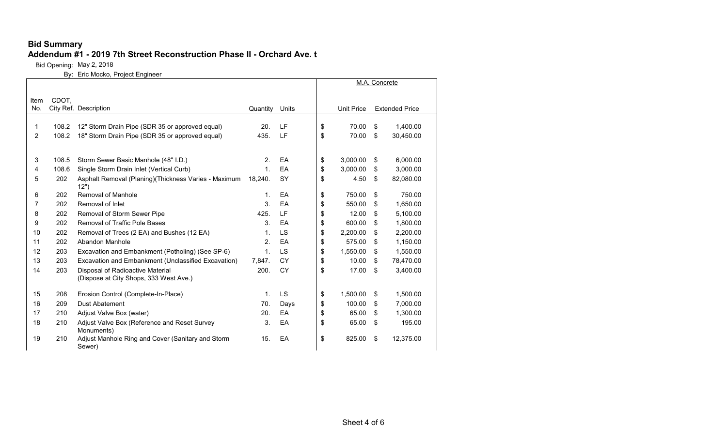#### **Addendum #1 - 2019 7th Street Reconstruction Phase II - Orchard Ave. t**

Bid Opening: May 2, 2018

|      |       |                                                                |                |           |                | M.A. Concrete         |
|------|-------|----------------------------------------------------------------|----------------|-----------|----------------|-----------------------|
| Item | CDOT, |                                                                |                |           |                |                       |
| No.  |       | City Ref. Description                                          | Quantity       | Units     | Unit Price     | <b>Extended Price</b> |
|      |       |                                                                |                |           |                |                       |
| 1    | 108.2 | 12" Storm Drain Pipe (SDR 35 or approved equal)                | 20.            | LF        | \$<br>70.00    | \$<br>1,400.00        |
| 2    | 108.2 | 18" Storm Drain Pipe (SDR 35 or approved equal)                | 435.           | LF        | \$<br>70.00    | \$<br>30,450.00       |
|      |       |                                                                |                |           |                |                       |
| 3    | 108.5 | Storm Sewer Basic Manhole (48" I.D.)                           | 2.             | EA        | \$<br>3,000.00 | \$<br>6,000.00        |
| 4    | 108.6 | Single Storm Drain Inlet (Vertical Curb)                       | $\mathbf{1}$ . | EA        | \$<br>3,000.00 | \$<br>3,000.00        |
| 5    | 202   | Asphalt Removal (Planing) (Thickness Varies - Maximum<br>(12") | 18,240.        | SY        | \$<br>4.50     | \$<br>82,080.00       |
| 6    | 202   | Removal of Manhole                                             | 1.             | EA        | \$<br>750.00   | \$<br>750.00          |
| 7    | 202   | Removal of Inlet                                               | 3.             | EA        | \$<br>550.00   | \$<br>1,650.00        |
| 8    | 202   | Removal of Storm Sewer Pipe                                    | 425.           | LF        | \$<br>12.00    | \$<br>5,100.00        |
| 9    | 202   | <b>Removal of Traffic Pole Bases</b>                           | 3.             | EA        | \$<br>600.00   | \$<br>1,800.00        |
| 10   | 202   | Removal of Trees (2 EA) and Bushes (12 EA)                     | 1.             | LS        | \$<br>2,200.00 | \$<br>2,200.00        |
| 11   | 202   | Abandon Manhole                                                | 2.             | EA        | \$<br>575.00   | \$<br>1,150.00        |
| 12   | 203   | Excavation and Embankment (Potholing) (See SP-6)               | $\mathbf{1}$ . | LS        | \$<br>1,550.00 | \$<br>1,550.00        |
| 13   | 203   | Excavation and Embankment (Unclassified Excavation)            | 7,847.         | CY        | \$<br>10.00    | \$<br>78,470.00       |
| 14   | 203   | Disposal of Radioactive Material                               | 200.           | <b>CY</b> | \$<br>17.00    | \$<br>3,400.00        |
|      |       | (Dispose at City Shops, 333 West Ave.)                         |                |           |                |                       |
| 15   | 208   | Erosion Control (Complete-In-Place)                            | $\mathbf{1}$ . | LS        | \$<br>1,500.00 | \$<br>1,500.00        |
| 16   | 209   | <b>Dust Abatement</b>                                          | 70.            | Days      | \$<br>100.00   | \$<br>7,000.00        |
| 17   | 210   | Adjust Valve Box (water)                                       | 20.            | EA        | \$<br>65.00    | \$<br>1,300.00        |
| 18   | 210   | Adjust Valve Box (Reference and Reset Survey<br>Monuments)     | 3.             | EA        | \$<br>65.00    | \$<br>195.00          |
| 19   | 210   | Adjust Manhole Ring and Cover (Sanitary and Storm<br>Sewer)    | 15.            | EA        | \$<br>825.00   | \$<br>12,375.00       |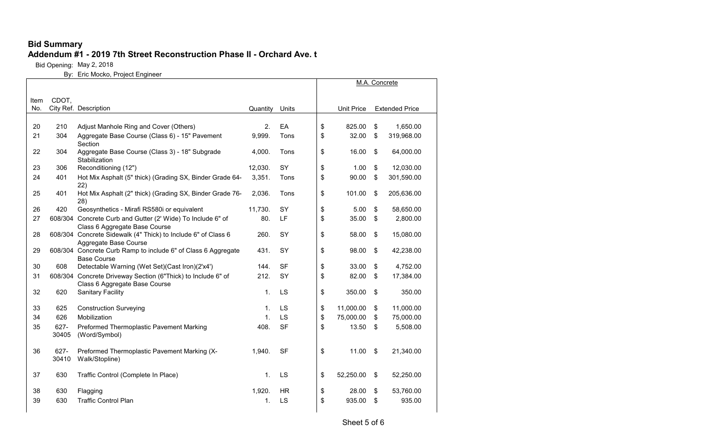#### **Addendum #1 - 2019 7th Street Reconstruction Phase II - Orchard Ave. t**

Bid Opening: May 2, 2018

|      |                  |                                                                                               |                |             |                   | M.A. Concrete         |  |
|------|------------------|-----------------------------------------------------------------------------------------------|----------------|-------------|-------------------|-----------------------|--|
| Item | CDOT.            |                                                                                               |                |             |                   |                       |  |
| No.  |                  | City Ref. Description                                                                         | Quantity       | Units       | <b>Unit Price</b> | <b>Extended Price</b> |  |
| 20   | 210              | Adjust Manhole Ring and Cover (Others)                                                        | 2.             | EA          | \$<br>825.00      | \$<br>1,650.00        |  |
| 21   | 304              | Aggregate Base Course (Class 6) - 15" Pavement                                                | 9,999.         | <b>Tons</b> | \$<br>32.00       | \$<br>319,968.00      |  |
|      |                  | Section                                                                                       |                |             |                   |                       |  |
| 22   | 304              | Aggregate Base Course (Class 3) - 18" Subgrade<br>Stabilization                               | 4,000.         | Tons        | \$<br>16.00       | \$<br>64,000.00       |  |
| 23   | 306              | Reconditioning (12")                                                                          | 12,030.        | SY          | \$<br>1.00        | \$<br>12,030.00       |  |
| 24   | 401              | Hot Mix Asphalt (5" thick) (Grading SX, Binder Grade 64-<br>22)                               | 3,351.         | Tons        | \$<br>90.00       | \$<br>301,590.00      |  |
| 25   | 401              | Hot Mix Asphalt (2" thick) (Grading SX, Binder Grade 76-<br>28)                               | 2,036.         | Tons        | \$<br>101.00      | \$<br>205,636.00      |  |
| 26   | 420              | Geosynthetics - Mirafi RS580i or equivalent                                                   | 11,730.        | SY          | \$<br>5.00        | \$<br>58,650.00       |  |
| 27   |                  | 608/304 Concrete Curb and Gutter (2' Wide) To Include 6" of<br>Class 6 Aggregate Base Course  | 80.            | LF          | \$<br>35.00       | \$<br>2,800.00        |  |
| 28   |                  | 608/304 Concrete Sidewalk (4" Thick) to Include 6" of Class 6<br>Aggregate Base Course        | 260.           | SY          | \$<br>58.00       | \$<br>15,080.00       |  |
| 29   |                  | 608/304 Concrete Curb Ramp to include 6" of Class 6 Aggregate<br><b>Base Course</b>           | 431.           | SY          | \$<br>98.00       | \$<br>42,238.00       |  |
| 30   | 608              | Detectable Warning (Wet Set)(Cast Iron)(2'x4')                                                | 144.           | <b>SF</b>   | \$<br>33.00       | \$<br>4,752.00        |  |
| 31   |                  | 608/304 Concrete Driveway Section (6"Thick) to Include 6" of<br>Class 6 Aggregate Base Course | 212.           | SY          | \$<br>82.00       | \$<br>17,384.00       |  |
| 32   | 620              | <b>Sanitary Facility</b>                                                                      | 1 <sub>1</sub> | LS          | \$<br>350.00      | \$<br>350.00          |  |
| 33   | 625              | <b>Construction Surveying</b>                                                                 | 1 <sub>1</sub> | LS          | \$<br>11,000.00   | \$<br>11,000.00       |  |
| 34   | 626              | Mobilization                                                                                  | 1.             | LS          | \$<br>75,000.00   | \$<br>75,000.00       |  |
| 35   | 627-<br>30405    | Preformed Thermoplastic Pavement Marking<br>(Word/Symbol)                                     | 408.           | <b>SF</b>   | \$<br>13.50       | \$<br>5,508.00        |  |
| 36   | $627 -$<br>30410 | Preformed Thermoplastic Pavement Marking (X-<br>Walk/Stopline)                                | 1,940.         | <b>SF</b>   | \$<br>11.00       | \$<br>21,340.00       |  |
| 37   | 630              | Traffic Control (Complete In Place)                                                           | $\mathbf{1}$ . | LS          | \$<br>52,250.00   | \$<br>52,250.00       |  |
| 38   | 630              | Flagging                                                                                      | 1,920.         | <b>HR</b>   | \$<br>28.00       | \$<br>53,760.00       |  |
| 39   | 630              | <b>Traffic Control Plan</b>                                                                   | 1.             | LS          | \$<br>935.00      | \$<br>935.00          |  |
|      |                  |                                                                                               |                |             |                   |                       |  |